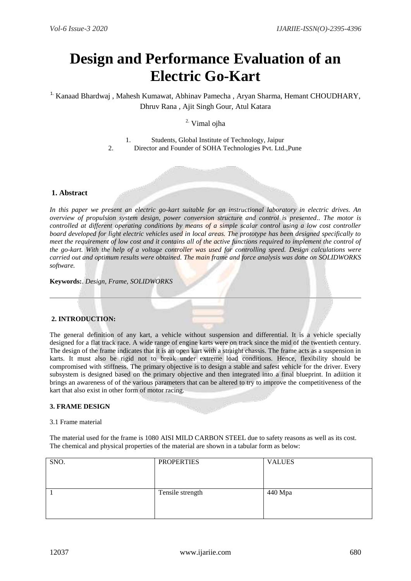# **Design and Performance Evaluation of an Electric Go-Kart**

<sup>1.</sup> Kanaad Bhardwaj, Mahesh Kumawat, Abhinav Pamecha, Aryan Sharma, Hemant CHOUDHARY, Dhruv Rana , Ajit Singh Gour, Atul Katara

# 2. Vimal ojha

1. Students, Global Institute of Technology, Jaipur

2. Director and Founder of SOHA Technologies Pvt. Ltd.,Pune

#### **1. Abstract**

*In this paper we present an electric go-kart suitable for an instructional laboratory in electric drives. An overview of propulsion system design, power conversion structure and control is presented.. The motor is controlled at different operating conditions by means of a simple scalar control using a low cost controller board developed for light electric vehicles used in local areas. The prototype has been designed specifically to meet the requirement of low cost and it contains all of the active functions required to implement the control of the go-kart. With the help of a voltage controller was used for controlling speed. Design calculations were carried out and optimum results were obtained. The main frame and force analysis was done on SOLIDWORKS software.*

**Keywords:**. *Design, Frame, SOLIDWORKS*

### **2. INTRODUCTION:**

The general definition of any kart, a vehicle without suspension and differential. It is a vehicle specially designed for a flat track race. A wide range of engine karts were on track since the mid of the twentieth century. The design of the frame indicates that it is an open kart with a straight chassis. The frame acts as a suspension in karts. It must also be rigid not to break under extreme load conditions. Hence, flexibility should be compromised with stiffness. The primary objective is to design a stable and safest vehicle for the driver. Every subsystem is designed based on the primary objective and then integrated into a final blueprint. In adiition it brings an awareness of of the various parameters that can be altered to try to improve the competitiveness of the kart that also exist in other form of motor racing.

#### **3. FRAME DESIGN**

#### 3.1 Frame material

The material used for the frame is 1080 AISI MILD CARBON STEEL due to safety reasons as well as its cost. The chemical and physical properties of the material are shown in a tabular form as below:

| SNO. | <b>PROPERTIES</b> | <b>VALUES</b> |
|------|-------------------|---------------|
|      | Tensile strength  | 440 Mpa       |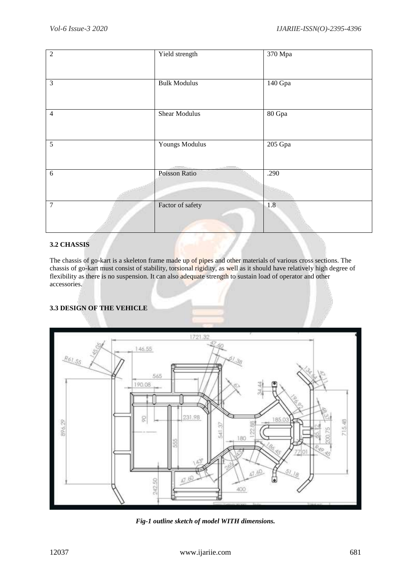| $\overline{2}$ | Yield strength        | 370 Mpa |
|----------------|-----------------------|---------|
| 3              | <b>Bulk Modulus</b>   | 140 Gpa |
| $\overline{4}$ | <b>Shear Modulus</b>  | 80 Gpa  |
| 5              | <b>Youngs Modulus</b> | 205 Gpa |
| 6              | Poisson Ratio         | .290    |
| $\overline{7}$ | Factor of safety      | 1.8     |

# **3.2 CHASSIS**

The chassis of go-kart is a skeleton frame made up of pipes and other materials of various cross sections. The chassis of go-kart must consist of stability, torsional rigidity, as well as it should have relatively high degree of flexibility as there is no suspension. It can also adequate strength to sustain load of operator and other accessories.

# **3.3 DESIGN OF THE VEHICLE**



*Fig-1 outline sketch of model WITH dimensions.*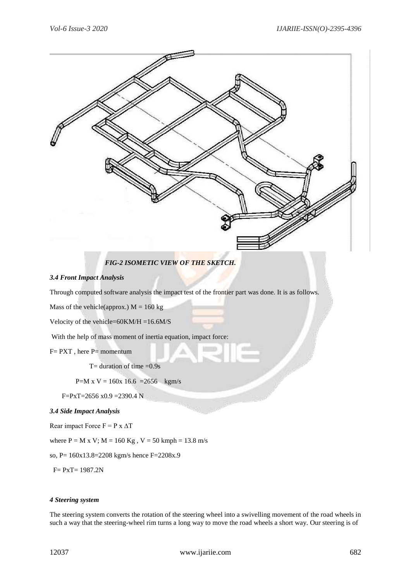

The steering system converts the rotation of the steering wheel into a swivelling movement of the road wheels in such a way that the steering-wheel rim turns a long way to move the road wheels a short way. Our steering is of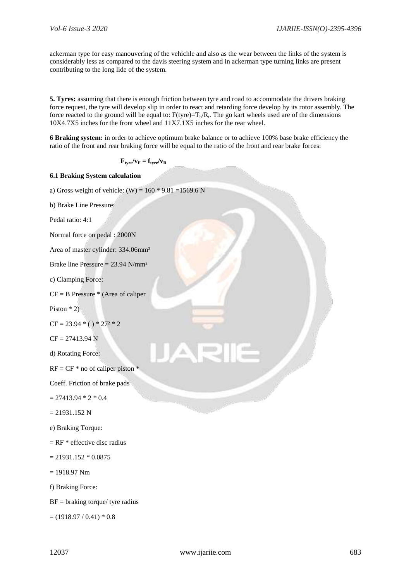ackerman type for easy manouvering of the vehichle and also as the wear between the links of the system is considerably less as compared to the davis steering system and in ackerman type turning links are present contributing to the long lide of the system.

**5. Tyres:** assuming that there is enough friction between tyre and road to accommodate the drivers braking force request, the tyre will develop slip in order to react and retarding force develop by its rotor assembly. The force reacted to the ground will be equal to:  $F(tyre)=T_b/R_t$ . The go kart wheels used are of the dimensions 10X4.7X5 inches for the front wheel and 11X7.1X5 inches for the rear wheel.

**6 Braking system:** in order to achieve optimum brake balance or to achieve 100% base brake efficiency the ratio of the front and rear braking force will be equal to the ratio of the front and rear brake forces:

$$
\mathbf{F}_{\text{type}}/\mathbf{v}_{\text{F}} = \mathbf{f}_{\text{type}}/\mathbf{v}_{\text{R}}
$$

## **6.1 Braking System calculation**

a) Gross weight of vehicle: (W) =  $160 * 9.81 = 1569.6$  N

b) Brake Line Pressure:

Pedal ratio: 4:1

Normal force on pedal : 2000N

Area of master cylinder: 334.06mm²

Brake line Pressure = 23.94 N/mm²

c) Clamping Force:

 $CF = B$  Pressure  $*$  (Area of caliper

Piston \* 2)

$$
CF = 23.94 * () * 272 * 2
$$

 $CF = 27413.94 N$ 

d) Rotating Force:

```
RF = CF * no of caliper piston *
```
Coeff. Friction of brake pads

 $= 27413.94 * 2 * 0.4$ 

 $= 21931.152 N$ 

e) Braking Torque:

 $=$  RF  $*$  effective disc radius

 $= 21931.152 * 0.0875$ 

 $= 1918.97$  Nm

f) Braking Force:

 $BF =$  braking torque/ tyre radius

 $=(1918.97/0.41)*(0.8)$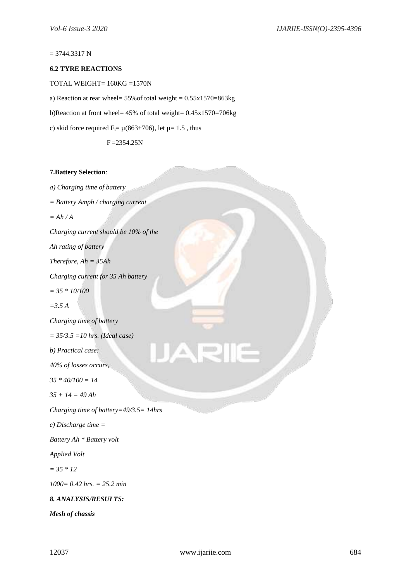#### $= 3744.3317 N$

## **6.2 TYRE REACTIONS**

TOTAL WEIGHT= 160KG =1570N

a) Reaction at rear wheel= 55%of total weight = 0.55x1570=863kg

b)Reaction at front wheel= 45% of total weight= 0.45x1570=706kg

c) skid force required  $F_t = \mu(863+706)$ , let  $\mu = 1.5$ , thus

 $F_t = 2354.25N$ 

#### **7.Battery Selection***:*

*a) Charging time of battery = Battery Amph / charging current = Ah / A Charging current should be 10% of the Ah rating of battery Therefore, Ah = 35Ah Charging current for 35 Ah battery = 35 \* 10/100 =3.5 A Charging time of battery = 35/3.5 =10 hrs. (Ideal case) b) Practical case: 40% of losses occurs, 35 \* 40/100 = 14 35 + 14 = 49 Ah Charging time of battery=49/3.5= 14hrs c) Discharge time = Battery Ah \* Battery volt Applied Volt = 35 \* 12 1000= 0.42 hrs. = 25.2 min 8. ANALYSIS/RESULTS: Mesh of chassis*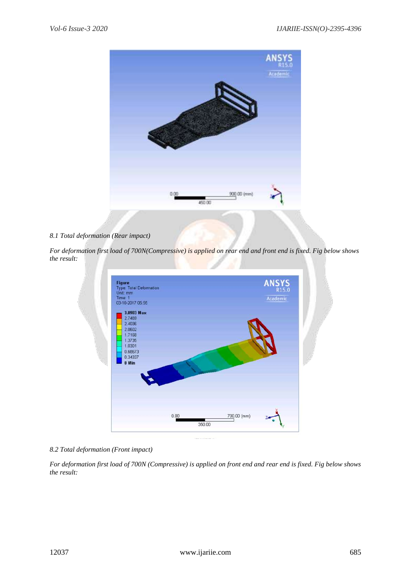

## *8.1 Total deformation (Rear impact)*

*For deformation first load of 700N(Compressive) is applied on rear end and front end is fixed. Fig below shows the result:*



# *8.2 Total deformation (Front impact)*

*For deformation first load of 700N (Compressive) is applied on front end and rear end is fixed. Fig below shows the result:*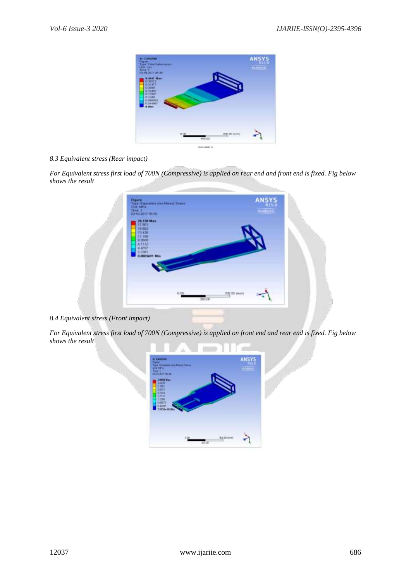

## *8.3 Equivalent stress (Rear impact)*

*For Equivalent stress first load of 700N (Compressive) is applied on rear end and front end is fixed. Fig below shows the result*

| 03/10/2017 05:55                                                                                              | Figure<br>Type Equivalent (ron-Mines) Direct<br>Unit, MPa<br>Tang, 1 |               | ANSYS<br>Academic |  |
|---------------------------------------------------------------------------------------------------------------|----------------------------------------------------------------------|---------------|-------------------|--|
| 28.130 Max<br>17.001<br>15.603<br>13,436<br>$17.100$<br>0.5500<br>0.7132<br>4.4757<br>2.2301<br>0.0005691 Min |                                                                      |               |                   |  |
|                                                                                                               | 0.00<br>350.00                                                       | (met) 00.007. |                   |  |

*8.4 Equivalent stress (Front impact)*

*For Equivalent stress first load of 700N (Compressive) is applied on front end and rear end is fixed. Fig below shows the result*